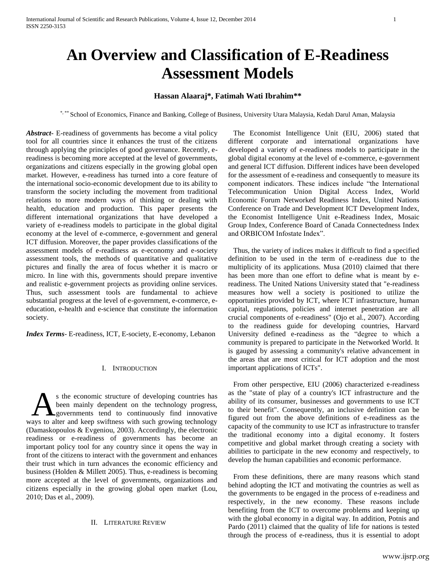# **An Overview and Classification of E-Readiness Assessment Models**

# **Hassan Alaaraj\*, Fatimah Wati Ibrahim\*\***

\*, \*\* School of Economics, Finance and Banking, College of Business, University Utara Malaysia, Kedah Darul Aman, Malaysia

*Abstract***-** E-readiness of governments has become a vital policy tool for all countries since it enhances the trust of the citizens through applying the principles of good governance. Recently, ereadiness is becoming more accepted at the level of governments, organizations and citizens especially in the growing global open market. However, e-readiness has turned into a core feature of the international socio-economic development due to its ability to transform the society including the movement from traditional relations to more modern ways of thinking or dealing with health, education and production. This paper presents the different international organizations that have developed a variety of e-readiness models to participate in the global digital economy at the level of e-commerce, e-government and general ICT diffusion. Moreover, the paper provides classifications of the assessment models of e-readiness as e-economy and e-society assessment tools, the methods of quantitative and qualitative pictures and finally the area of focus whether it is macro or micro. In line with this, governments should prepare inventive and realistic e-government projects as providing online services. Thus, such assessment tools are fundamental to achieve substantial progress at the level of e-government, e-commerce, eeducation, e-health and e-science that constitute the information society.

*Index Terms*- E-readiness, ICT, E-society, E-economy, Lebanon

## I. INTRODUCTION

s the economic structure of developing countries has been mainly dependent on the technology progress, **A**governments tend to continuously find innovative S the economic structure of developing countries has<br>been mainly dependent on the technology progress,<br>ways to alter and keep swiftness with such growing technology (Damaskopoulos & Evgeniou, 2003). Accordingly, the electronic readiness or e-readiness of governments has become an important policy tool for any country since it opens the way in front of the citizens to interact with the government and enhances their trust which in turn advances the economic efficiency and business (Holden & Millett 2005). Thus, e-readiness is becoming more accepted at the level of governments, organizations and citizens especially in the growing global open market (Lou, 2010; Das et al., 2009).

## II. LITERATURE REVIEW

The Economist Intelligence Unit (EIU, 2006) stated that different corporate and international organizations have developed a variety of e-readiness models to participate in the global digital economy at the level of e-commerce, e-government and general ICT diffusion. Different indices have been developed for the assessment of e-readiness and consequently to measure its component indicators. These indices include "the International Telecommunication Union Digital Access Index, World Economic Forum Networked Readiness Index, United Nations Conference on Trade and Development ICT Development Index, the Economist Intelligence Unit e-Readiness Index, Mosaic Group Index, Conference Board of Canada Connectedness Index and ORBICOM Infostate Index".

Thus, the variety of indices makes it difficult to find a specified definition to be used in the term of e-readiness due to the multiplicity of its applications. Musa (2010) claimed that there has been more than one effort to define what is meant by ereadiness. The United Nations University stated that "e-readiness measures how well a society is positioned to utilize the opportunities provided by ICT, where ICT infrastructure, human capital, regulations, policies and internet penetration are all crucial components of e-readiness" (Ojo et al., 2007). According to the readiness guide for developing countries, Harvard University defined e-readiness as the "degree to which a community is prepared to participate in the Networked World. It is gauged by assessing a community's relative advancement in the areas that are most critical for ICT adoption and the most important applications of ICTs".

From other perspective, EIU (2006) characterized e-readiness as the "state of play of a country's ICT infrastructure and the ability of its consumer, businesses and governments to use ICT to their benefit". Consequently, an inclusive definition can be figured out from the above definitions of e-readiness as the capacity of the community to use ICT as infrastructure to transfer the traditional economy into a digital economy. It fosters competitive and global market through creating a society with abilities to participate in the new economy and respectively, to develop the human capabilities and economic performance.

From these definitions, there are many reasons which stand behind adopting the ICT and motivating the countries as well as the governments to be engaged in the process of e-readiness and respectively, in the new economy. These reasons include benefiting from the ICT to overcome problems and keeping up with the global economy in a digital way. In addition, Potnis and Pardo (2011) claimed that the quality of life for nations is tested through the process of e-readiness, thus it is essential to adopt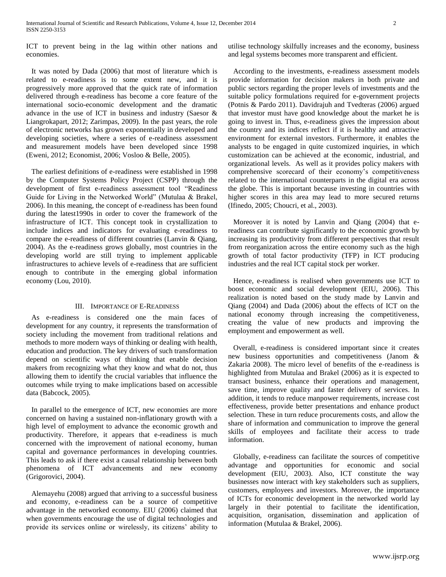ICT to prevent being in the lag within other nations and economies.

It was noted by Dada (2006) that most of literature which is related to e-readiness is to some extent new, and it is progressively more approved that the quick rate of information delivered through e-readiness has become a core feature of the international socio-economic development and the dramatic advance in the use of ICT in business and industry (Saesor & Liangrokapart, 2012; Zarimpas, 2009). In the past years, the role of electronic networks has grown exponentially in developed and developing societies, where a series of e-readiness assessment and measurement models have been developed since 1998 (Eweni, 2012; Economist, 2006; Vosloo & Belle, 2005).

The earliest definitions of e-readiness were established in 1998 by the Computer Systems Policy Project (CSPP) through the development of first e-readiness assessment tool "Readiness Guide for Living in the Networked World" (Mutulaa & Brakel, 2006). In this meaning, the concept of e-readiness has been found during the latest1990s in order to cover the framework of the infrastructure of ICT. This concept took in crystallization to include indices and indicators for evaluating e-readiness to compare the e-readiness of different countries (Lanvin & Qiang, 2004). As the e-readiness grows globally, most countries in the developing world are still trying to implement applicable infrastructures to achieve levels of e-readiness that are sufficient enough to contribute in the emerging global information economy (Lou, 2010).

## III. IMPORTANCE OF E-READINESS

As e-readiness is considered one the main faces of development for any country, it represents the transformation of society including the movement from traditional relations and methods to more modern ways of thinking or dealing with health, education and production. The key drivers of such transformation depend on scientific ways of thinking that enable decision makers from recognizing what they know and what do not, thus allowing them to identify the crucial variables that influence the outcomes while trying to make implications based on accessible data (Babcock, 2005).

In parallel to the emergence of ICT, new economies are more concerned on having a sustained non-inflationary growth with a high level of employment to advance the economic growth and productivity. Therefore, it appears that e-readiness is much concerned with the improvement of national economy, human capital and governance performances in developing countries. This leads to ask if there exist a causal relationship between both phenomena of ICT advancements and new economy (Grigorovici, 2004).

Alemayehu (2008) argued that arriving to a successful business and economy, e-readiness can be a source of competitive advantage in the networked economy. EIU (2006) claimed that when governments encourage the use of digital technologies and provide its services online or wirelessly, its citizens' ability to utilise technology skilfully increases and the economy, business and legal systems becomes more transparent and efficient.

According to the investments, e-readiness assessment models provide information for decision makers in both private and public sectors regarding the proper levels of investments and the suitable policy formulations required for e-government projects (Potnis & Pardo 2011). Davidrajuh and Tvedteras (2006) argued that investor must have good knowledge about the market he is going to invest in. Thus, e-readiness gives the impression about the country and its indices reflect if it is healthy and attractive environment for external investors. Furthermore, it enables the analysts to be engaged in quite customized inquiries, in which customization can be achieved at the economic, industrial, and organizational levels. As well as it provides policy makers with comprehensive scorecard of their economy's competitiveness related to the international counterparts in the digital era across the globe. This is important because investing in countries with higher scores in this area may lead to more secured returns (Ifinedo, 2005; Choucri, et al., 2003).

Moreover it is noted by Lanvin and Qiang (2004) that ereadiness can contribute significantly to the economic growth by increasing its productivity from different perspectives that result from reorganization across the entire economy such as the high growth of total factor productivity (TFP) in ICT producing industries and the real ICT capital stock per worker.

Hence, e-readiness is realised when governments use ICT to boost economic and social development (EIU, 2006). This realization is noted based on the study made by Lanvin and Qiang (2004) and Dada (2006) about the effects of ICT on the national economy through increasing the competitiveness, creating the value of new products and improving the employment and empowerment as well.

Overall, e-readiness is considered important since it creates new business opportunities and competitiveness (Janom & Zakaria 2008). The micro level of benefits of the e-readiness is highlighted from Mutulaa and Brakel (2006) as it is expected to transact business, enhance their operations and management, save time, improve quality and faster delivery of services. In addition, it tends to reduce manpower requirements, increase cost effectiveness, provide better presentations and enhance product selection. These in turn reduce procurements costs, and allow the share of information and communication to improve the general skills of employees and facilitate their access to trade information.

Globally, e-readiness can facilitate the sources of competitive advantage and opportunities for economic and social development (EIU, 2003). Also, ICT constitute the way businesses now interact with key stakeholders such as suppliers, customers, employees and investors. Moreover, the importance of ICTs for economic development in the networked world lay largely in their potential to facilitate the identification, acquisition, organisation, dissemination and application of information (Mutulaa & Brakel, 2006).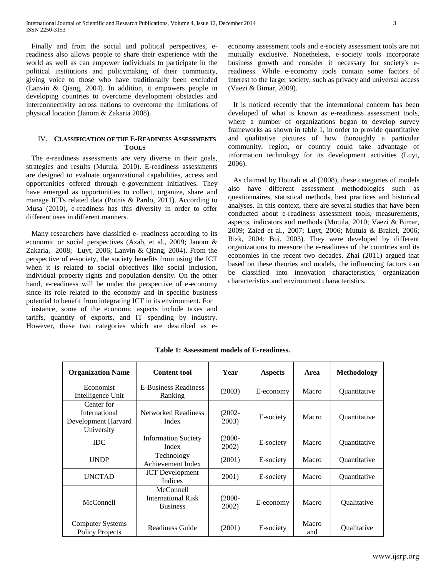Finally and from the social and political perspectives, ereadiness also allows people to share their experience with the world as well as can empower individuals to participate in the political institutions and policymaking of their community, giving voice to those who have traditionally been excluded (Lanvin & Qiang, 2004). In addition, it empowers people in developing countries to overcome development obstacles and interconnectivity across nations to overcome the limitations of physical location (Janom & Zakaria 2008).

## IV. **CLASSIFICATION OF THE E-READINESS ASSESSMENTS TOOLS**

The e-readiness assessments are very diverse in their goals, strategies and results (Mutula, 2010). E-readiness assessments are designed to evaluate organizational capabilities, access and opportunities offered through e-government initiatives. They have emerged as opportunities to collect, organize, share and manage ICTs related data (Potnis & Pardo, 2011). According to Musa (2010), e-readiness has this diversity in order to offer different uses in different manners.

Many researchers have classified e- readiness according to its economic or social perspectives (Azab, et al., 2009; Janom & Zakaria, 2008; Luyt, 2006; Lanvin & Qiang, 2004). From the perspective of e-society, the society benefits from using the ICT when it is related to social objectives like social inclusion, individual property rights and population density. On the other hand, e-readiness will be under the perspective of e-economy since its role related to the economy and in specific business potential to benefit from integrating ICT in its environment. For

instance, some of the economic aspects include taxes and tariffs, quantity of exports, and IT spending by industry. However, these two categories which are described as eeconomy assessment tools and e-society assessment tools are not mutually exclusive. Nonetheless, e-society tools incorporate business growth and consider it necessary for society's ereadiness. While e-economy tools contain some factors of interest to the larger society, such as privacy and universal access (Vaezi & Bimar, 2009).

It is noticed recently that the international concern has been developed of what is known as e-readiness assessment tools, where a number of organizations began to develop survey frameworks as shown in table 1, in order to provide quantitative and qualitative pictures of how thoroughly a particular community, region, or country could take advantage of information technology for its development activities (Luyt, 2006).

As claimed by Hourali et al (2008), these categories of models also have different assessment methodologies such as questionnaires, statistical methods, best practices and historical analyses. In this context, there are several studies that have been conducted about e-readiness assessment tools, measurements, aspects, indicators and methods (Mutula, 2010; Vaezi & Bimar, 2009; Zaied et al., 2007; Luyt, 2006; Mutula & Brakel, 2006; Rizk, 2004; Bui, 2003). They were developed by different organizations to measure the e-readiness of the countries and its economies in the recent two decades. Zhai (2011) argued that based on these theories and models, the influencing factors can be classified into innovation characteristics, organization characteristics and environment characteristics.

| <b>Organization Name</b>                                         | <b>Content tool</b>                                | Year               | <b>Aspects</b> | Area         | <b>Methodology</b>         |
|------------------------------------------------------------------|----------------------------------------------------|--------------------|----------------|--------------|----------------------------|
| Economist<br>Intelligence Unit                                   | <b>E-Business Readiness</b><br>Ranking             | (2003)             | E-economy      | Macro        | Quantitative               |
| Center for<br>International<br>Development Harvard<br>University | <b>Networked Readiness</b><br>Index                | $(2002 -$<br>2003) | E-society      | Macro        | <i><b>Ouantitative</b></i> |
| <b>IDC</b>                                                       | <b>Information Society</b><br>Index                | $(2000 -$<br>2002) | E-society      | Macro        | Quantitative               |
| <b>UNDP</b>                                                      | Technology<br>Achievement Index                    | (2001)             | E-society      | Macro        | <i><b>Ouantitative</b></i> |
| <b>UNCTAD</b>                                                    | <b>ICT</b> Development<br>Indices                  | 2001)              | E-society      | Macro        | Quantitative               |
| McConnell                                                        | McConnell<br>International Risk<br><b>Business</b> | $(2000 -$<br>2002) | E-economy      | Macro        | <b>Oualitative</b>         |
| Computer Systems<br><b>Policy Projects</b>                       | Readiness Guide                                    | (2001)             | E-society      | Macro<br>and | Qualitative                |

**Table 1: Assessment models of E-readiness.**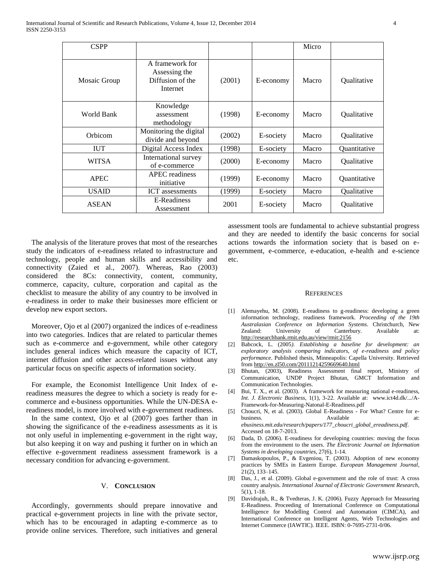| <b>CSPP</b>  |                                                                  |        |           | Micro |                    |
|--------------|------------------------------------------------------------------|--------|-----------|-------|--------------------|
| Mosaic Group | A framework for<br>Assessing the<br>Diffusion of the<br>Internet | (2001) | E-economy | Macro | Qualitative        |
| World Bank   | Knowledge<br>assessment<br>methodology                           | (1998) | E-economy | Macro | Qualitative        |
| Orbicom      | Monitoring the digital<br>divide and beyond                      | (2002) | E-society | Macro | Qualitative        |
| <b>IUT</b>   | Digital Access Index                                             | (1998) | E-society | Macro | Quantitative       |
| <b>WITSA</b> | International survey<br>of e-commerce                            | (2000) | E-economy | Macro | Qualitative        |
| <b>APEC</b>  | <b>APEC</b> readiness<br>initiative                              | (1999) | E-economy | Macro | Quantitative       |
| <b>USAID</b> | <b>ICT</b> assessments                                           | (1999) | E-society | Macro | Qualitative        |
| <b>ASEAN</b> | E-Readiness<br>Assessment                                        | 2001   | E-society | Macro | <b>Oualitative</b> |

The analysis of the literature proves that most of the researches study the indicators of e-readiness related to infrastructure and technology, people and human skills and accessibility and connectivity (Zaied et al., 2007). Whereas, Rao (2003) considered the 8Cs: connectivity, content, community, commerce, capacity, culture, corporation and capital as the checklist to measure the ability of any country to be involved in e-readiness in order to make their businesses more efficient or develop new export sectors.

Moreover, Ojo et al (2007) organized the indices of e-readiness into two categories. Indices that are related to particular themes such as e-commerce and e-government, while other category includes general indices which measure the capacity of ICT, internet diffusion and other access-related issues without any particular focus on specific aspects of information society.

For example, the Economist Intelligence Unit Index of ereadiness measures the degree to which a society is ready for ecommerce and e-business opportunities. While the UN-DESA ereadiness model, is more involved with e-government readiness.

In the same context, Ojo et al (2007) goes farther than in showing the significance of the e-readiness assessments as it is not only useful in implementing e-government in the right way, but also keeping it on way and pushing it further on in which an effective e-government readiness assessment framework is a necessary condition for advancing e-government.

## V. **CONCLUSION**

Accordingly, governments should prepare innovative and practical e-government projects in line with the private sector, which has to be encouraged in adapting e-commerce as to provide online services. Therefore, such initiatives and general

assessment tools are fundamental to achieve substantial progress and they are needed to identify the basic concerns for social actions towards the information society that is based on egovernment, e-commerce, e-education, e-health and e-science etc.

#### **REFERENCES**

- [1] Alemayehu, M. (2008). E-readiness to g-readiness: developing a green information technology, readiness framework. *Proceeding of the 19th Australasian Conference on Information Systems.* Christchurch, New Zealand: University of Canterbury. Available at: <http://researchbank.rmit.edu.au/view/rmit:2156>
- [2] Babcock, L. (2005*). Establishing a baseline for development: an exploratory analysis comparing indicators, of e-readiness and policy performance*. Published thesis, Minneapolis: Capella University. Retrieved fro[m http://en.zl50.com/20111214259669640.html](http://en.zl50.com/20111214259669640.html)
- [3] Bhutan, (2003), Readiness Assessment final report, Ministry of Communication, UNDP Project Bhutan, GMCT Information and Communication Technologies.
- [4] Bui, T. X., et al. (2003). A framework for measuring national e-readiness, *Int. J. Electronic Business,* 1(1), 3-22. Available at: www.ict4d.dk/.../A-Framework-for-Measuring-Natonal-E-Readiness.pdf
- [5] Choucri, N, et al. (2003). Global E-Readiness For What? Centre for ebusiness. Available at: *ebusiness.mit.edu/research/papers/177\_choucri\_global\_ereadiness.pdf*. Accessed on 18-7-2013.
- [6] Dada, D. (2006). E-readiness for developing countries: moving the focus from the environment to the users. *The Electronic Journal on Information Systems in developing countries*, 27(6), 1-14.
- [7] Damaskopoulos, P., & Evgeniou, T. (2003). Adoption of new economy practices by SMEs in Eastern Europe. *European Management Journal,* 21(2), 133–145.
- [8] Das, J., et al. (2009). Global e-government and the role of trust: A cross country analysis. *International Journal of Electronic Government Research*, 5(1), 1-18.
- [9] Davidrajuh, R., & Tvedteras, J. K. (2006). Fuzzy Approach for Measuring E-Readiness. Proceeding of International Conference on Computational Intelligence for Modelling Control and Automation (CIMCA), and International Conference on Intelligent Agents, Web Technologies and Internet Commerce (IAWTIC). IEEE. ISBN: 0-7695-2731-0/06.